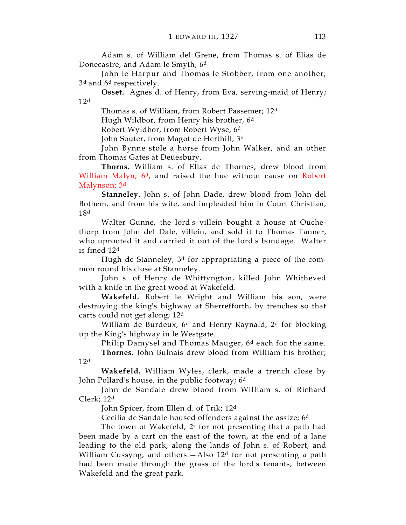Adam s. of William del Grene, from Thomas s. of Elias de Donecastre, and Adam le Smyth, 6<sup>d</sup>

John le Harpur and Thomas le Stobber, from one another; 3<sup>d</sup> and 6<sup>d</sup> respectively.

Osset. Agnes d. of Henry, from Eva, serving-maid of Henry;  $12<sup>d</sup>$ 

Thomas s. of William, from Robert Passemer; 12<sup>d</sup> Hugh Wildbor, from Henry his brother, 6<sup>d</sup> Robert Wyldbor, from Robert Wyse, 6<sup>d</sup> John Souter, from Magot de Herthill, 3d

John Bynne stole a horse from John Walker, and an other

from Thomas Gates at Deuesbury.

Thorns. William s. of Elias de Thornes, drew blood from William Malyn; 6<sup>d</sup>, and raised the hue without cause on Robert Malynson; 3<sup>d</sup>

Stanneley. John s. of John Dade, drew blood from John del Bothem, and from his wife, and impleaded him in Court Christian, 18<sup>d</sup>

Walter Gunne, the lord's villein bought a house at Ouchethorp from John del Dale, villein, and sold it to Thomas Tanner, who uprooted it and carried it out of the lord's bondage. Walter is fined 12<sup>d</sup>

Hugh de Stanneley, 3d for appropriating a piece of the common round his close at Stanneley.

John s. of Henry de Whittyngton, killed John Whitheved with a knife in the great wood at Wakefeld.

Wakefeld. Robert le Wright and William his son, were destroying the king's highway at Sherrefforth, by trenches so that carts could not get along; 12<sup>d</sup>

William de Burdeux, 6<sup>d</sup> and Henry Raynald, 2<sup>d</sup> for blocking up the King's highway in le Westgate.

Philip Damysel and Thomas Mauger, 6<sup>d</sup> each for the same.

Thornes. John Bulnais drew blood from William his brother; 12<sup>d</sup>

Wakefeld. William Wyles, clerk, made a trench close by John Pollard's house, in the public footway; 6<sup>d</sup>

John de Sandale drew blood from William s. of Richard Clerk; 12<sup>d</sup>

John Spicer, from Ellen d. of Trik; 12<sup>d</sup>

Cecilia de Sandale housed offenders against the assize; 6<sup>d</sup>

The town of Wakefeld, 2s for not presenting that a path had been made by a cart on the east of the town, at the end of a lane leading to the old park, along the lands of John s. of Robert, and William Cussyng, and others.—Also 12<sup>d</sup> for not presenting a path had been made through the grass of the lord's tenants, between Wakefeld and the great park.